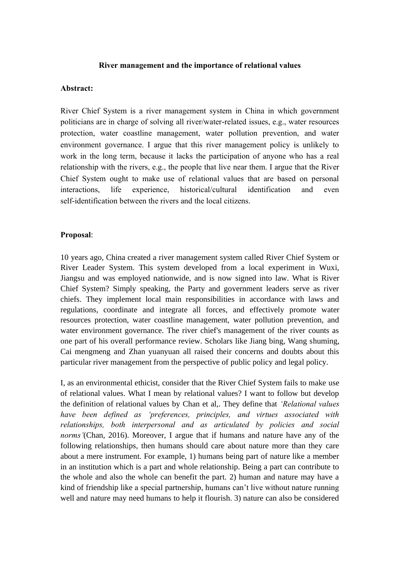## **River management and the importance of relational values**

## **Abstract:**

River Chief System is a river management system in China in which government politicians are in charge of solving all river/water-related issues, e.g., water resources protection, water coastline management, water pollution prevention, and water environment governance. I argue that this river management policy is unlikely to work in the long term, because it lacks the participation of anyone who has a real relationship with the rivers, e.g., the people that live near them. I argue that the River Chief System ought to make use of relational values that are based on personal interactions, life experience, historical/cultural identification and even self-identification between the rivers and the local citizens.

## **Proposal**:

10 years ago, China created a river management system called River Chief System or River Leader System. This system developed from a local experiment in Wuxi, Jiangsu and was employed nationwide, and is now signed into law. What is River Chief System? Simply speaking, the Party and government leaders serve as river chiefs. They implement local main responsibilities in accordance with laws and regulations, coordinate and integrate all forces, and effectively promote water resources protection, water coastline management, water pollution prevention, and water environment governance. The river chief's management of the river counts as one part of his overall performance review. Scholars like Jiang bing, Wang shuming, Cai mengmeng and Zhan yuanyuan all raised their concerns and doubts about this particular river management from the perspective of public policy and legal policy.

I, as an environmental ethicist, consider that the River Chief System fails to make use of relational values. What I mean by relational values? I want to follow but develop the definition of relational values by Chan et al,. They define that *'Relational values have been defined as 'preferences, principles, and virtues associated with relationships, both interpersonal and as articulated by policies and social norms'*(Chan, 2016). Moreover, I argue that if humans and nature have any of the following relationships, then humans should care about nature more than they care about a mere instrument. For example, 1) humans being part of nature like a member in an institution which is a part and whole relationship. Being a part can contribute to the whole and also the whole can benefit the part. 2) human and nature may have a kind of friendship like a special partnership, humans can't live without nature running well and nature may need humans to help it flourish. 3) nature can also be considered